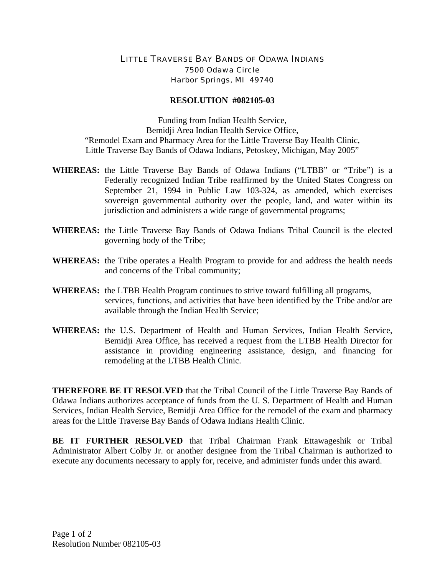## LITTLE TRAVERSE BAY BANDS OF ODAWA INDIANS 7500 Odawa Circle Harbor Springs, MI 49740

## **RESOLUTION #082105-03**

Funding from Indian Health Service, Bemidji Area Indian Health Service Office, "Remodel Exam and Pharmacy Area for the Little Traverse Bay Health Clinic, Little Traverse Bay Bands of Odawa Indians, Petoskey, Michigan, May 2005"

- **WHEREAS:** the Little Traverse Bay Bands of Odawa Indians ("LTBB" or "Tribe") is a Federally recognized Indian Tribe reaffirmed by the United States Congress on September 21, 1994 in Public Law 103-324, as amended, which exercises sovereign governmental authority over the people, land, and water within its jurisdiction and administers a wide range of governmental programs;
- **WHEREAS:** the Little Traverse Bay Bands of Odawa Indians Tribal Council is the elected governing body of the Tribe;
- **WHEREAS:** the Tribe operates a Health Program to provide for and address the health needs and concerns of the Tribal community;
- **WHEREAS:** the LTBB Health Program continues to strive toward fulfilling all programs, services, functions, and activities that have been identified by the Tribe and/or are available through the Indian Health Service;
- **WHEREAS:** the U.S. Department of Health and Human Services, Indian Health Service, Bemidji Area Office, has received a request from the LTBB Health Director for assistance in providing engineering assistance, design, and financing for remodeling at the LTBB Health Clinic.

**THEREFORE BE IT RESOLVED** that the Tribal Council of the Little Traverse Bay Bands of Odawa Indians authorizes acceptance of funds from the U. S. Department of Health and Human Services, Indian Health Service, Bemidji Area Office for the remodel of the exam and pharmacy areas for the Little Traverse Bay Bands of Odawa Indians Health Clinic.

**BE IT FURTHER RESOLVED** that Tribal Chairman Frank Ettawageshik or Tribal Administrator Albert Colby Jr. or another designee from the Tribal Chairman is authorized to execute any documents necessary to apply for, receive, and administer funds under this award.